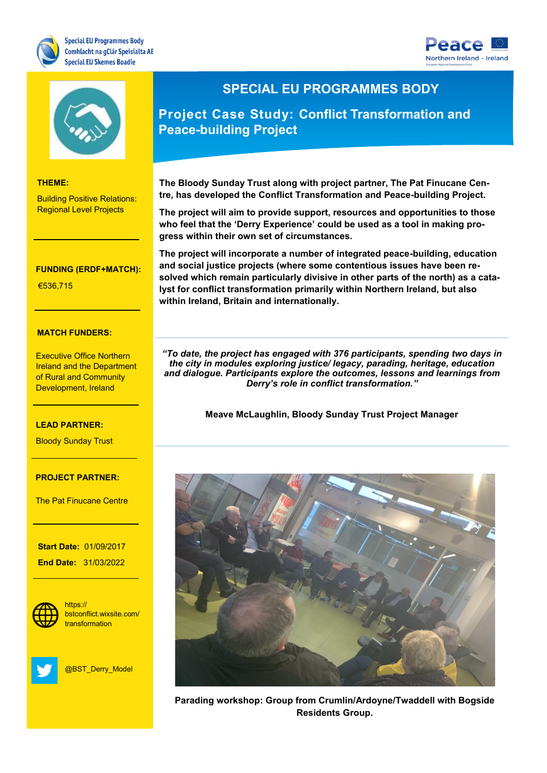





### **THEME:**

Building Positive Relations: Regional Level Projects

#### Research and Innovation **FUNDING (ERDF+MATCH):**

Renewable Energy

€536,715

### **MATCH FUNDERS:**

**Executive Office Northern** Ireland and the Department of Rural and Community Development, Ireland

**LEAD PARTNER:**

### LEAD PARTNER:

<mark>Bloody Sunday Trust</mark>

## of Scotland **PROJECT PARTNER:**

The Pat Finucane Centre

**PROJECT CONTACT:**

**Start Date:** 01/09/2017 **End Date:** 31/03/2022

**WEBSITE:**



bstconflict.wixsite.com/ https:// transformation



@BST\_Derry\_Model

## **SPECIAL EU PROGRAMMES BODY**

**Project Case Study: Conflict Transformation and Peace-building Project**

**The Bloody Sunday Trust along with project partner, The Pat Finucane Centre, has developed the Conflict Transformation and Peace-building Project.**

**The project will aim to provide support, resources and opportunities to those who feel that the 'Derry Experience' could be used as a tool in making progress within their own set of circumstances.** 

**The project will incorporate a number of integrated peace-building, education and social justice projects (where some contentious issues have been resolved which remain particularly divisive in other parts of the north) as a catalyst for conflict transformation primarily within Northern Ireland, but also within Ireland, Britain and internationally.** 

*"To date, the project has engaged with 376 participants, spending two days in the city in modules exploring justice/ legacy, parading, heritage, education and dialogue. Participants explore the outcomes, lessons and learnings from Derry's role in conflict transformation."*

**Meave McLaughlin, Bloody Sunday Trust Project Manager**



**Parading workshop: Group from Crumlin/Ardoyne/Twaddell with Bogside Residents Group.**